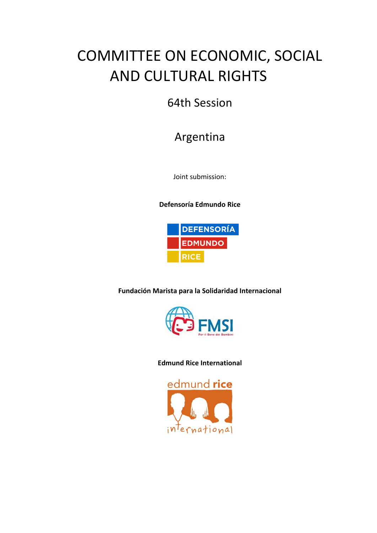# COMMITTEE ON ECONOMIC, SOCIAL **AND CULTURAL RIGHTS**

### 64th Session

## Argentina

Joint submission:

**Defensoría Edmundo Rice**



**Fundación Marista para la Solidaridad Internacional**



### **Edmund Rice International**

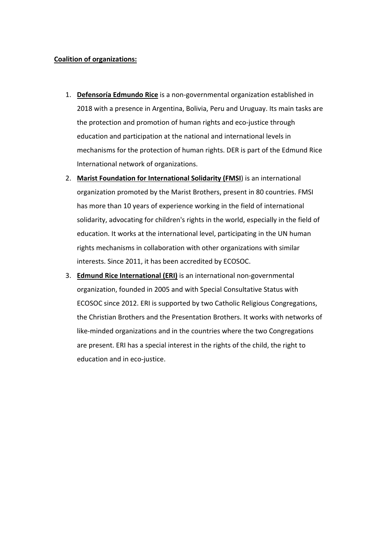#### **Coalition of organizations:**

- 1. **Defensoría Edmundo Rice** is a non-governmental organization established in 2018 with a presence in Argentina, Bolivia, Peru and Uruguay. Its main tasks are the protection and promotion of human rights and eco-justice through education and participation at the national and international levels in mechanisms for the protection of human rights. DER is part of the Edmund Rice International network of organizations.
- 2. Marist Foundation for International Solidarity (FMSI) is an international organization promoted by the Marist Brothers, present in 80 countries. FMSI has more than 10 years of experience working in the field of international solidarity, advocating for children's rights in the world, especially in the field of education. It works at the international level, participating in the UN human rights mechanisms in collaboration with other organizations with similar interests. Since 2011, it has been accredited by ECOSOC.
- 3. **Edmund Rice International (ERI)** is an international non-governmental organization, founded in 2005 and with Special Consultative Status with ECOSOC since 2012. ERI is supported by two Catholic Religious Congregations, the Christian Brothers and the Presentation Brothers. It works with networks of like-minded organizations and in the countries where the two Congregations are present. ERI has a special interest in the rights of the child, the right to education and in eco-justice.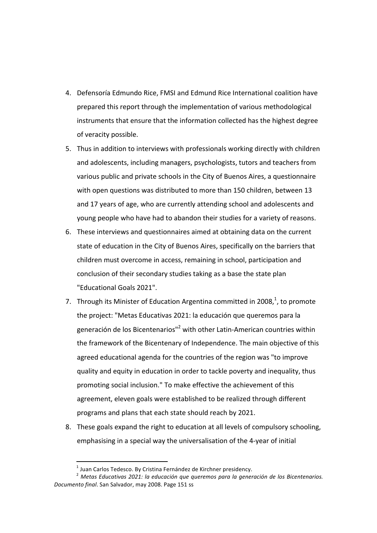- 4. Defensoría Edmundo Rice, FMSI and Edmund Rice International coalition have prepared this report through the implementation of various methodological instruments that ensure that the information collected has the highest degree of veracity possible.
- 5. Thus in addition to interviews with professionals working directly with children and adolescents, including managers, psychologists, tutors and teachers from various public and private schools in the City of Buenos Aires, a questionnaire with open questions was distributed to more than 150 children, between 13 and 17 years of age, who are currently attending school and adolescents and young people who have had to abandon their studies for a variety of reasons.
- 6. These interviews and questionnaires aimed at obtaining data on the current state of education in the City of Buenos Aires, specifically on the barriers that children must overcome in access, remaining in school, participation and conclusion of their secondary studies taking as a base the state plan "Educational Goals 2021".
- 7. Through its Minister of Education Argentina committed in 2008, $<sup>1</sup>$ , to promote</sup> the project: "Metas Educativas 2021: la educación que queremos para la generación de los Bicentenarios"<sup>2</sup> with other Latin-American countries within the framework of the Bicentenary of Independence. The main objective of this agreed educational agenda for the countries of the region was "to improve quality and equity in education in order to tackle poverty and inequality, thus promoting social inclusion." To make effective the achievement of this agreement, eleven goals were established to be realized through different programs and plans that each state should reach by 2021.
- 8. These goals expand the right to education at all levels of compulsory schooling, emphasising in a special way the universalisation of the 4-year of initial

 $1$  Juan Carlos Tedesco. By Cristina Fernández de Kirchner presidency.

<sup>2</sup> *Metas Educativas 2021: la educación que queremos para la generación de los Bicentenarios.* Documento final. San Salvador, may 2008. Page 151 ss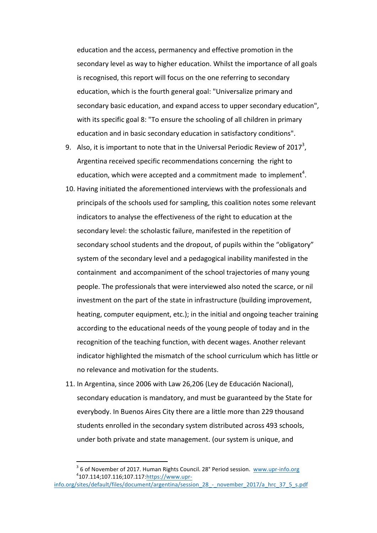education and the access, permanency and effective promotion in the secondary level as way to higher education. Whilst the importance of all goals is recognised, this report will focus on the one referring to secondary education, which is the fourth general goal: "Universalize primary and secondary basic education, and expand access to upper secondary education", with its specific goal 8: "To ensure the schooling of all children in primary education and in basic secondary education in satisfactory conditions".

- 9. Also, it is important to note that in the Universal Periodic Review of 2017<sup>3</sup>, Argentina received specific recommendations concerning the right to education, which were accepted and a commitment made to implement<sup>4</sup>.
- 10. Having initiated the aforementioned interviews with the professionals and principals of the schools used for sampling, this coalition notes some relevant indicators to analyse the effectiveness of the right to education at the secondary level: the scholastic failure, manifested in the repetition of secondary school students and the dropout, of pupils within the "obligatory" system of the secondary level and a pedagogical inability manifested in the containment and accompaniment of the school trajectories of many young people. The professionals that were interviewed also noted the scarce, or nil investment on the part of the state in infrastructure (building improvement, heating, computer equipment, etc.); in the initial and ongoing teacher training according to the educational needs of the young people of today and in the recognition of the teaching function, with decent wages. Another relevant indicator highlighted the mismatch of the school curriculum which has little or no relevance and motivation for the students.
- 11. In Argentina, since 2006 with Law 26,206 (Ley de Educación Nacional), secondary education is mandatory, and must be guaranteed by the State for everybody. In Buenos Aires City there are a little more than 229 thousand students enrolled in the secondary system distributed across 493 schools, under both private and state management. (our system is unique, and

 $3$  6 of November of 2017. Human Rights Council. 28° Period session. www.upr-info.org 107.114;107.116;107.117:https://www.upr-

info.org/sites/default/files/document/argentina/session\_28\_-\_november\_2017/a\_hrc\_37\_5\_s.pdf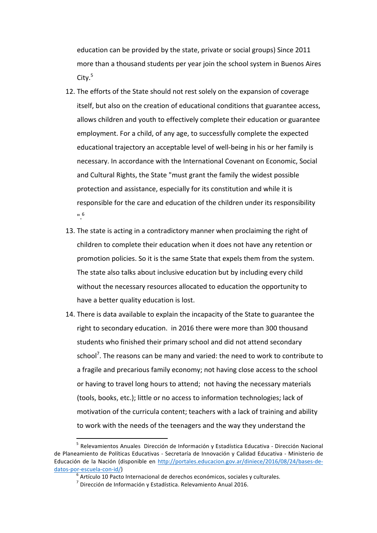education can be provided by the state, private or social groups) Since 2011 more than a thousand students per year join the school system in Buenos Aires  $City.<sup>5</sup>$ 

- 12. The efforts of the State should not rest solely on the expansion of coverage itself, but also on the creation of educational conditions that guarantee access, allows children and youth to effectively complete their education or guarantee employment. For a child, of any age, to successfully complete the expected educational trajectory an acceptable level of well-being in his or her family is necessary. In accordance with the International Covenant on Economic, Social and Cultural Rights, the State "must grant the family the widest possible protection and assistance, especially for its constitution and while it is responsible for the care and education of the children under its responsibility ".6
- 13. The state is acting in a contradictory manner when proclaiming the right of children to complete their education when it does not have any retention or promotion policies. So it is the same State that expels them from the system. The state also talks about inclusive education but by including every child without the necessary resources allocated to education the opportunity to have a better quality education is lost.
- 14. There is data available to explain the incapacity of the State to guarantee the right to secondary education. in 2016 there were more than 300 thousand students who finished their primary school and did not attend secondary school<sup>7</sup>. The reasons can be many and varied: the need to work to contribute to a fragile and precarious family economy; not having close access to the school or having to travel long hours to attend; not having the necessary materials (tools, books, etc.); little or no access to information technologies; lack of motivation of the curricula content; teachers with a lack of training and ability to work with the needs of the teenagers and the way they understand the

 $<sup>5</sup>$  Relevamientos Anuales Dirección de Información y Estadística Educativa - Dirección Nacional</sup> de Planeamiento de Políticas Educativas - Secretaría de Innovación y Calidad Educativa - Ministerio de Educación de la Nación (disponible en http://portales.educacion.gov.ar/diniece/2016/08/24/bases-dedatos-por-escuela-con-id/)<br><sup>6</sup> Artículo 10 Pacto Internacional de derechos económicos, sociales y culturales.

 $^7$  Dirección de Información y Estadística. Relevamiento Anual 2016.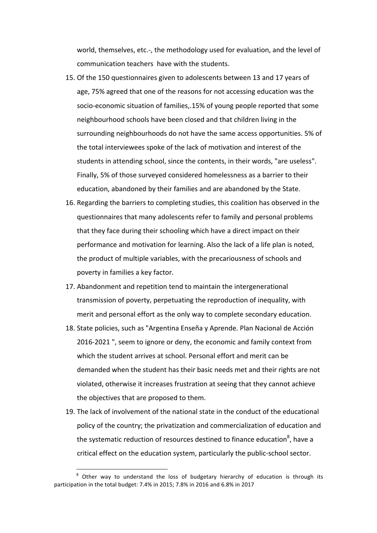world, themselves, etc.-, the methodology used for evaluation, and the level of communication teachers have with the students.

- 15. Of the 150 questionnaires given to adolescents between 13 and 17 years of age, 75% agreed that one of the reasons for not accessing education was the socio-economic situation of families,.15% of young people reported that some neighbourhood schools have been closed and that children living in the surrounding neighbourhoods do not have the same access opportunities. 5% of the total interviewees spoke of the lack of motivation and interest of the students in attending school, since the contents, in their words, "are useless". Finally, 5% of those surveyed considered homelessness as a barrier to their education, abandoned by their families and are abandoned by the State.
- 16. Regarding the barriers to completing studies, this coalition has observed in the questionnaires that many adolescents refer to family and personal problems that they face during their schooling which have a direct impact on their performance and motivation for learning. Also the lack of a life plan is noted, the product of multiple variables, with the precariousness of schools and poverty in families a key factor.
- 17. Abandonment and repetition tend to maintain the intergenerational transmission of poverty, perpetuating the reproduction of inequality, with merit and personal effort as the only way to complete secondary education.
- 18. State policies, such as "Argentina Enseña y Aprende. Plan Nacional de Acción 2016-2021 ", seem to ignore or deny, the economic and family context from which the student arrives at school. Personal effort and merit can be demanded when the student has their basic needs met and their rights are not violated, otherwise it increases frustration at seeing that they cannot achieve the objectives that are proposed to them.
- 19. The lack of involvement of the national state in the conduct of the educational policy of the country; the privatization and commercialization of education and the systematic reduction of resources destined to finance education $^8$ , have a critical effect on the education system, particularly the public-school sector.

 $8$  Other way to understand the loss of budgetary hierarchy of education is through its participation in the total budget: 7.4% in 2015; 7.8% in 2016 and 6.8% in 2017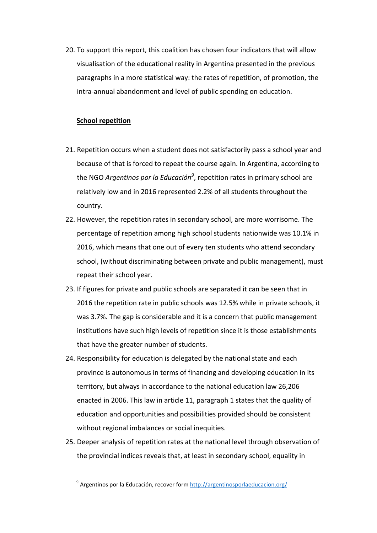20. To support this report, this coalition has chosen four indicators that will allow visualisation of the educational reality in Argentina presented in the previous paragraphs in a more statistical way: the rates of repetition, of promotion, the intra-annual abandonment and level of public spending on education.

#### **School repetition**

- 21. Repetition occurs when a student does not satisfactorily pass a school year and because of that is forced to repeat the course again. In Argentina, according to the NGO *Argentinos por la Educación<sup>9</sup>,* repetition rates in primary school are relatively low and in 2016 represented 2.2% of all students throughout the country.
- 22. However, the repetition rates in secondary school, are more worrisome. The percentage of repetition among high school students nationwide was 10.1% in 2016, which means that one out of every ten students who attend secondary school, (without discriminating between private and public management), must repeat their school year.
- 23. If figures for private and public schools are separated it can be seen that in 2016 the repetition rate in public schools was 12.5% while in private schools, it was 3.7%. The gap is considerable and it is a concern that public management institutions have such high levels of repetition since it is those establishments that have the greater number of students.
- 24. Responsibility for education is delegated by the national state and each province is autonomous in terms of financing and developing education in its territory, but always in accordance to the national education law 26,206 enacted in 2006. This law in article 11, paragraph 1 states that the quality of education and opportunities and possibilities provided should be consistent without regional imbalances or social inequities.
- 25. Deeper analysis of repetition rates at the national level through observation of the provincial indices reveals that, at least in secondary school, equality in

 $9$  Argentinos por la Educación, recover form http://argentinosporlaeducacion.org/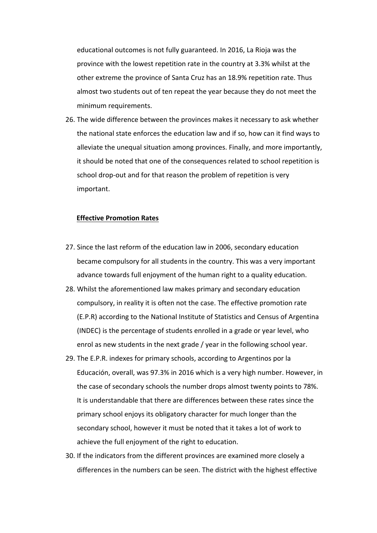educational outcomes is not fully guaranteed. In 2016, La Rioja was the province with the lowest repetition rate in the country at 3.3% whilst at the other extreme the province of Santa Cruz has an 18.9% repetition rate. Thus almost two students out of ten repeat the year because they do not meet the minimum requirements.

26. The wide difference between the provinces makes it necessary to ask whether the national state enforces the education law and if so, how can it find ways to alleviate the unequal situation among provinces. Finally, and more importantly, it should be noted that one of the consequences related to school repetition is school drop-out and for that reason the problem of repetition is very important.

#### **Effective Promotion Rates**

- 27. Since the last reform of the education law in 2006, secondary education became compulsory for all students in the country. This was a very important advance towards full enjoyment of the human right to a quality education.
- 28. Whilst the aforementioned law makes primary and secondary education compulsory, in reality it is often not the case. The effective promotion rate (E.P.R) according to the National Institute of Statistics and Census of Argentina (INDEC) is the percentage of students enrolled in a grade or year level, who enrol as new students in the next grade / year in the following school year.
- 29. The E.P.R. indexes for primary schools, according to Argentinos por la Educación, overall, was 97.3% in 2016 which is a very high number. However, in the case of secondary schools the number drops almost twenty points to 78%. It is understandable that there are differences between these rates since the primary school enjoys its obligatory character for much longer than the secondary school, however it must be noted that it takes a lot of work to achieve the full enjoyment of the right to education.
- 30. If the indicators from the different provinces are examined more closely a differences in the numbers can be seen. The district with the highest effective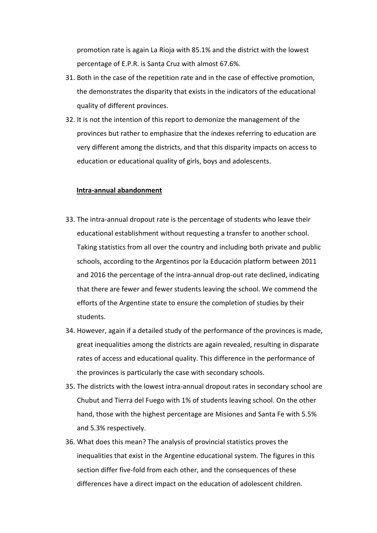promotion rate is again La Rioja with 85.1% and the district with the lowest percentage of E.P.R. is Santa Cruz with almost 67.6%.

- 31. Both in the case of the repetition rate and in the case of effective promotion, the demonstrates the disparity that exists in the indicators of the educational quality of different provinces.
- 32. It is not the intention of this report to demonize the management of the provinces but rather to emphasize that the indexes referring to education are very different among the districts, and that this disparity impacts on access to education or educational quality of girls, boys and adolescents.

#### **Intra-annual abandonment**

- 33. The intra-annual dropout rate is the percentage of students who leave their educational establishment without requesting a transfer to another school. Taking statistics from all over the country and including both private and public schools, according to the Argentinos por la Educación platform between 2011 and 2016 the percentage of the intra-annual drop-out rate declined, indicating that there are fewer and fewer students leaving the school. We commend the efforts of the Argentine state to ensure the completion of studies by their students.
- 34. However, again if a detailed study of the performance of the provinces is made, great inequalities among the districts are again revealed, resulting in disparate rates of access and educational quality. This difference in the performance of the provinces is particularly the case with secondary schools.
- 35. The districts with the lowest intra-annual dropout rates in secondary school are Chubut and Tierra del Fuego with 1% of students leaving school. On the other hand, those with the highest percentage are Misiones and Santa Fe with 5.5% and 5.3% respectively.
- 36. What does this mean? The analysis of provincial statistics proves the inequalities that exist in the Argentine educational system. The figures in this section differ five-fold from each other, and the consequences of these differences have a direct impact on the education of adolescent children.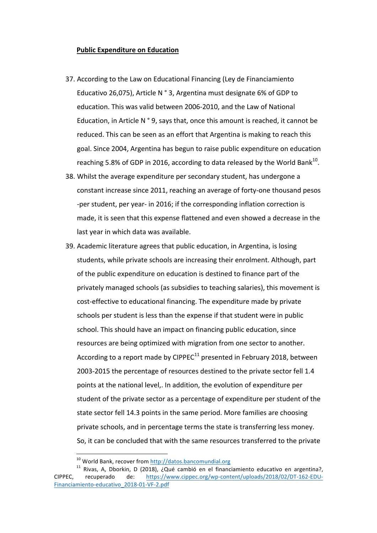#### **Public Expenditure on Education**

- 37. According to the Law on Educational Financing (Ley de Financiamiento Educativo 26,075), Article N  $\degree$  3, Argentina must designate 6% of GDP to education. This was valid between 2006-2010, and the Law of National Education, in Article N  $^{\circ}$  9, says that, once this amount is reached, it cannot be reduced. This can be seen as an effort that Argentina is making to reach this goal. Since 2004, Argentina has begun to raise public expenditure on education reaching 5.8% of GDP in 2016, according to data released by the World Bank<sup>10</sup>.
- 38. Whilst the average expenditure per secondary student, has undergone a constant increase since 2011, reaching an average of forty-one thousand pesos -per student, per year- in 2016; if the corresponding inflation correction is made, it is seen that this expense flattened and even showed a decrease in the last year in which data was available.
- 39. Academic literature agrees that public education, in Argentina, is losing students, while private schools are increasing their enrolment. Although, part of the public expenditure on education is destined to finance part of the privately managed schools (as subsidies to teaching salaries), this movement is cost-effective to educational financing. The expenditure made by private schools per student is less than the expense if that student were in public school. This should have an impact on financing public education, since resources are being optimized with migration from one sector to another. According to a report made by CIPPEC<sup>11</sup> presented in February 2018, between 2003-2015 the percentage of resources destined to the private sector fell 1.4 points at the national level,. In addition, the evolution of expenditure per student of the private sector as a percentage of expenditure per student of the state sector fell 14.3 points in the same period. More families are choosing private schools, and in percentage terms the state is transferring less money. So, it can be concluded that with the same resources transferred to the private

<sup>&</sup>lt;sup>10</sup> World Bank, recover from http://datos.bancomundial.org<br><sup>11</sup> Rivas, A, Dborkin, D (2018), ¿Qué cambió en el financiamiento educativo en argentina?, CIPPEC, recuperado de: https://www.cippec.org/wp-content/uploads/2018/02/DT-162-EDU-Financiamiento-educativo\_2018-01-VF-2.pdf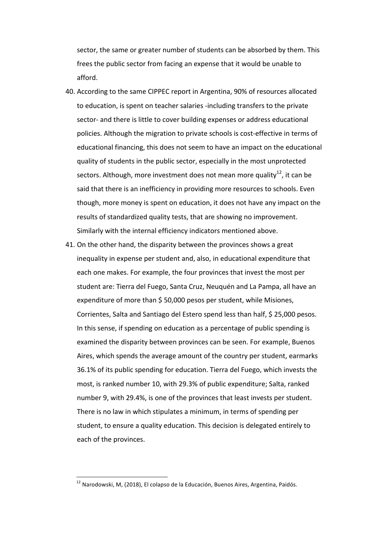sector, the same or greater number of students can be absorbed by them. This frees the public sector from facing an expense that it would be unable to afford.

- 40. According to the same CIPPEC report in Argentina, 90% of resources allocated to education, is spent on teacher salaries -including transfers to the private sector- and there is little to cover building expenses or address educational policies. Although the migration to private schools is cost-effective in terms of educational financing, this does not seem to have an impact on the educational quality of students in the public sector, especially in the most unprotected sectors. Although, more investment does not mean more quality<sup>12</sup>, it can be said that there is an inefficiency in providing more resources to schools. Even though, more money is spent on education, it does not have any impact on the results of standardized quality tests, that are showing no improvement. Similarly with the internal efficiency indicators mentioned above.
- 41. On the other hand, the disparity between the provinces shows a great inequality in expense per student and, also, in educational expenditure that each one makes. For example, the four provinces that invest the most per student are: Tierra del Fuego, Santa Cruz, Neuquén and La Pampa, all have an expenditure of more than  $$50,000$  pesos per student, while Misiones, Corrientes, Salta and Santiago del Estero spend less than half, \$ 25,000 pesos. In this sense, if spending on education as a percentage of public spending is examined the disparity between provinces can be seen. For example, Buenos Aires, which spends the average amount of the country per student, earmarks 36.1% of its public spending for education. Tierra del Fuego, which invests the most, is ranked number 10, with 29.3% of public expenditure; Salta, ranked number 9, with 29.4%, is one of the provinces that least invests per student. There is no law in which stipulates a minimum, in terms of spending per student, to ensure a quality education. This decision is delegated entirely to each of the provinces.

 $12$  Narodowski, M, (2018), El colapso de la Educación, Buenos Aires, Argentina, Paidós.